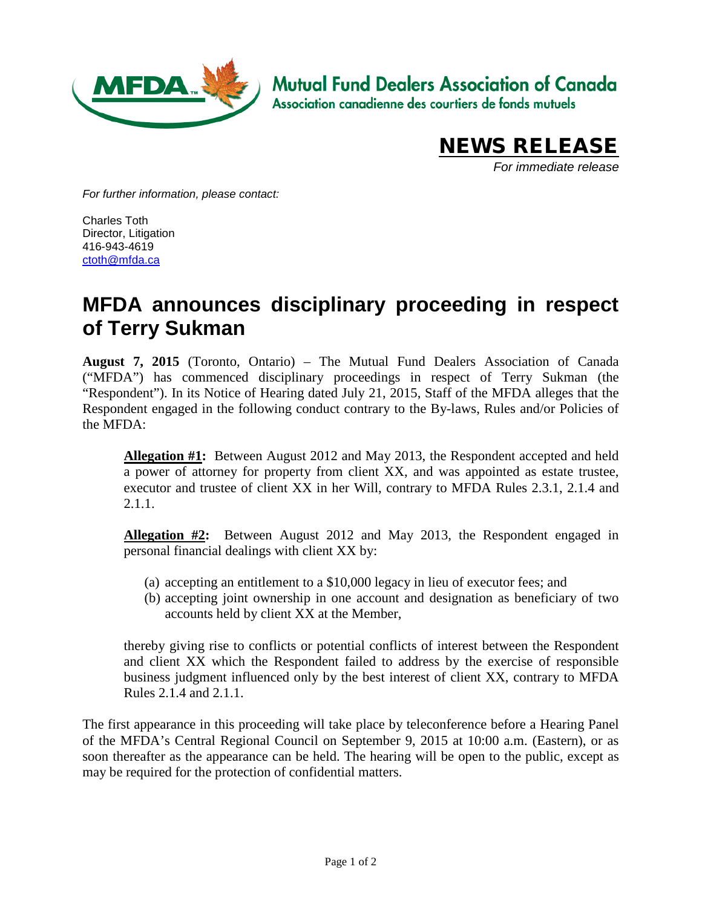

**Mutual Fund Dealers Association of Canada** 

Association canadienne des courtiers de fonds mutuels



*For immediate release*

*For further information, please contact:*

Charles Toth Director, Litigation 416-943-4619 [ctoth@mfda.ca](mailto:ctoth@mfda.ca)

## **MFDA announces disciplinary proceeding in respect of Terry Sukman**

**August 7, 2015** (Toronto, Ontario) – The Mutual Fund Dealers Association of Canada ("MFDA") has commenced disciplinary proceedings in respect of Terry Sukman (the "Respondent"). In its Notice of Hearing dated July 21, 2015, Staff of the MFDA alleges that the Respondent engaged in the following conduct contrary to the By-laws, Rules and/or Policies of the MFDA:

**Allegation #1:** Between August 2012 and May 2013, the Respondent accepted and held a power of attorney for property from client XX, and was appointed as estate trustee, executor and trustee of client XX in her Will, contrary to MFDA Rules 2.3.1, 2.1.4 and 2.1.1.

**Allegation #2:** Between August 2012 and May 2013, the Respondent engaged in personal financial dealings with client XX by:

- (a) accepting an entitlement to a \$10,000 legacy in lieu of executor fees; and
- (b) accepting joint ownership in one account and designation as beneficiary of two accounts held by client XX at the Member,

thereby giving rise to conflicts or potential conflicts of interest between the Respondent and client XX which the Respondent failed to address by the exercise of responsible business judgment influenced only by the best interest of client XX, contrary to MFDA Rules 2.1.4 and 2.1.1.

The first appearance in this proceeding will take place by teleconference before a Hearing Panel of the MFDA's Central Regional Council on September 9, 2015 at 10:00 a.m. (Eastern), or as soon thereafter as the appearance can be held. The hearing will be open to the public, except as may be required for the protection of confidential matters.